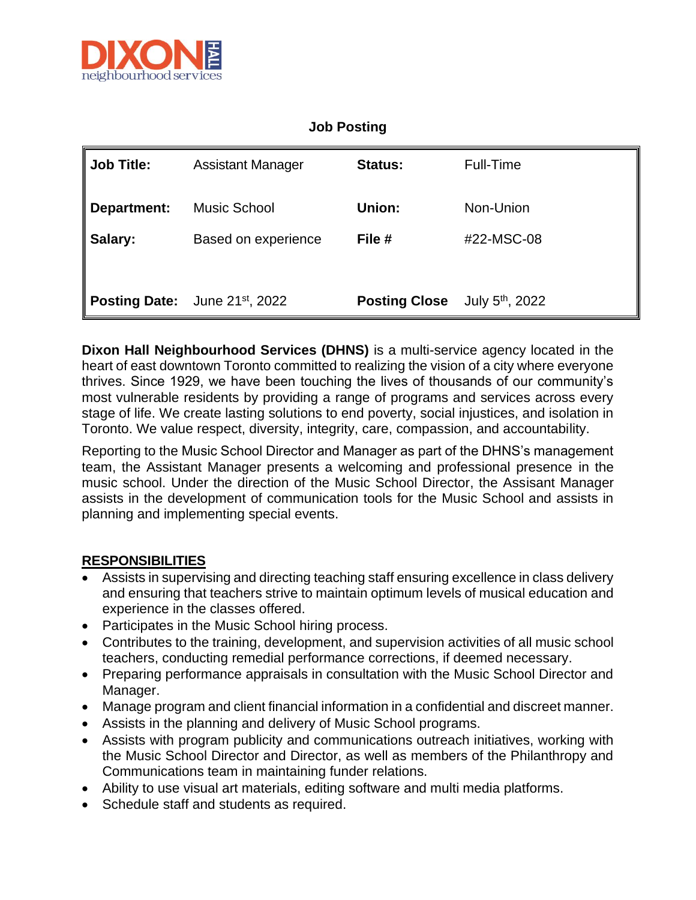

## **Job Posting**

| $\parallel$ Job Title: | <b>Assistant Manager</b>                   | <b>Status:</b>       | <b>Full-Time</b>            |
|------------------------|--------------------------------------------|----------------------|-----------------------------|
| ∥ Department:          | <b>Music School</b>                        | Union:               | Non-Union                   |
| ∥ Salary:              | Based on experience                        | File #               | #22-MSC-08                  |
|                        |                                            |                      |                             |
|                        | Posting Date: June 21 <sup>st</sup> , 2022 | <b>Posting Close</b> | July $5^{\text{th}}$ , 2022 |

**Dixon Hall Neighbourhood Services (DHNS)** is a multi-service agency located in the heart of east downtown Toronto committed to realizing the vision of a city where everyone thrives. Since 1929, we have been touching the lives of thousands of our community's most vulnerable residents by providing a range of programs and services across every stage of life. We create lasting solutions to end poverty, social injustices, and isolation in Toronto. We value respect, diversity, integrity, care, compassion, and accountability.

Reporting to the Music School Director and Manager as part of the DHNS's management team, the Assistant Manager presents a welcoming and professional presence in the music school. Under the direction of the Music School Director, the Assisant Manager assists in the development of communication tools for the Music School and assists in planning and implementing special events.

## **RESPONSIBILITIES**

- Assists in supervising and directing teaching staff ensuring excellence in class delivery and ensuring that teachers strive to maintain optimum levels of musical education and experience in the classes offered.
- Participates in the Music School hiring process.
- Contributes to the training, development, and supervision activities of all music school teachers, conducting remedial performance corrections, if deemed necessary.
- Preparing performance appraisals in consultation with the Music School Director and Manager.
- Manage program and client financial information in a confidential and discreet manner.
- Assists in the planning and delivery of Music School programs.
- Assists with program publicity and communications outreach initiatives, working with the Music School Director and Director, as well as members of the Philanthropy and Communications team in maintaining funder relations.
- Ability to use visual art materials, editing software and multi media platforms.
- Schedule staff and students as required.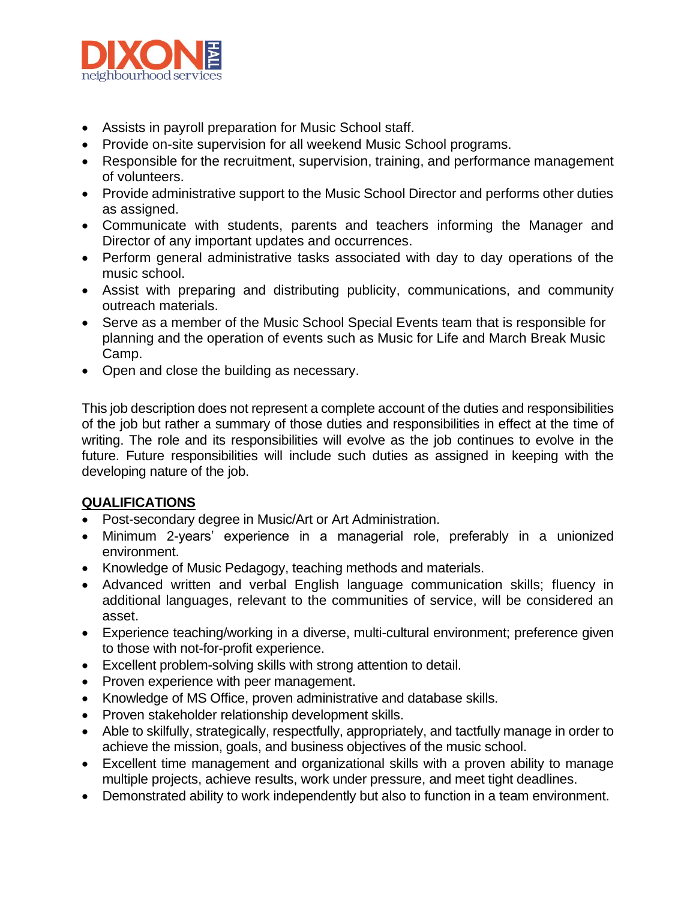

- Assists in payroll preparation for Music School staff.
- Provide on-site supervision for all weekend Music School programs.
- Responsible for the recruitment, supervision, training, and performance management of volunteers.
- Provide administrative support to the Music School Director and performs other duties as assigned.
- Communicate with students, parents and teachers informing the Manager and Director of any important updates and occurrences.
- Perform general administrative tasks associated with day to day operations of the music school.
- Assist with preparing and distributing publicity, communications, and community outreach materials.
- Serve as a member of the Music School Special Events team that is responsible for planning and the operation of events such as Music for Life and March Break Music Camp.
- Open and close the building as necessary.

This job description does not represent a complete account of the duties and responsibilities of the job but rather a summary of those duties and responsibilities in effect at the time of writing. The role and its responsibilities will evolve as the job continues to evolve in the future. Future responsibilities will include such duties as assigned in keeping with the developing nature of the job.

## **QUALIFICATIONS**

- Post-secondary degree in Music/Art or Art Administration.
- Minimum 2-years' experience in a managerial role, preferably in a unionized environment.
- Knowledge of Music Pedagogy, teaching methods and materials.
- Advanced written and verbal English language communication skills; fluency in additional languages, relevant to the communities of service, will be considered an asset.
- Experience teaching/working in a diverse, multi-cultural environment; preference given to those with not-for-profit experience.
- Excellent problem-solving skills with strong attention to detail.
- Proven experience with peer management.
- Knowledge of MS Office, proven administrative and database skills.
- Proven stakeholder relationship development skills.
- Able to skilfully, strategically, respectfully, appropriately, and tactfully manage in order to achieve the mission, goals, and business objectives of the music school.
- Excellent time management and organizational skills with a proven ability to manage multiple projects, achieve results, work under pressure, and meet tight deadlines.
- Demonstrated ability to work independently but also to function in a team environment.